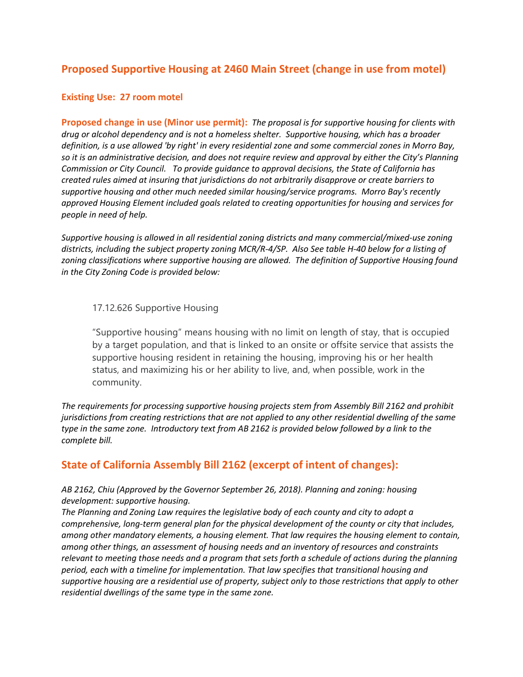# **Proposed Supportive Housing at 2460 Main Street (change in use from motel)**

## **Existing Use: 27 room motel**

**Proposed change in use (Minor use permit):** *The proposal is for supportive housing for clients with drug or alcohol dependency and is not a homeless shelter. Supportive housing, which has a broader definition, is a use allowed 'by right' in every residential zone and some commercial zones in Morro Bay, so it is an administrative decision, and does not require review and approval by either the City's Planning Commission or City Council. To provide guidance to approval decisions, the State of California has created rules aimed at insuring that jurisdictions do not arbitrarily disapprove or create barriers to supportive housing and other much needed similar housing/service programs. Morro Bay's recently approved Housing Element included goals related to creating opportunities for housing and services for people in need of help.*

*Supportive housing is allowed in all residential zoning districts and many commercial/mixed-use zoning districts, including the subject property zoning MCR/R-4/SP. Also See table H-40 below for a listing of zoning classifications where supportive housing are allowed. The definition of Supportive Housing found in the City Zoning Code is provided below:* 

## 17.12.626 Supportive Housing

"Supportive housing" means housing with no limit on length of stay, that is occupied by a target population, and that is linked to an onsite or offsite service that assists the supportive housing resident in retaining the housing, improving his or her health status, and maximizing his or her ability to live, and, when possible, work in the community.

*The requirements for processing supportive housing projects stem from Assembly Bill 2162 and prohibit jurisdictions from creating restrictions that are not applied to any other residential dwelling of the same type in the same zone. Introductory text from AB 2162 is provided below followed by a link to the complete bill.* 

# **State of California Assembly Bill 2162 (excerpt of intent of changes):**

## *AB 2162, Chiu (Approved by the Governor September 26, 2018). Planning and zoning: housing development: supportive housing.*

*The Planning and Zoning Law requires the legislative body of each county and city to adopt a comprehensive, long-term general plan for the physical development of the county or city that includes, among other mandatory elements, a housing element. That law requires the housing element to contain, among other things, an assessment of housing needs and an inventory of resources and constraints relevant to meeting those needs and a program that sets forth a schedule of actions during the planning period, each with a timeline for implementation. That law specifies that transitional housing and supportive housing are a residential use of property, subject only to those restrictions that apply to other residential dwellings of the same type in the same zone.*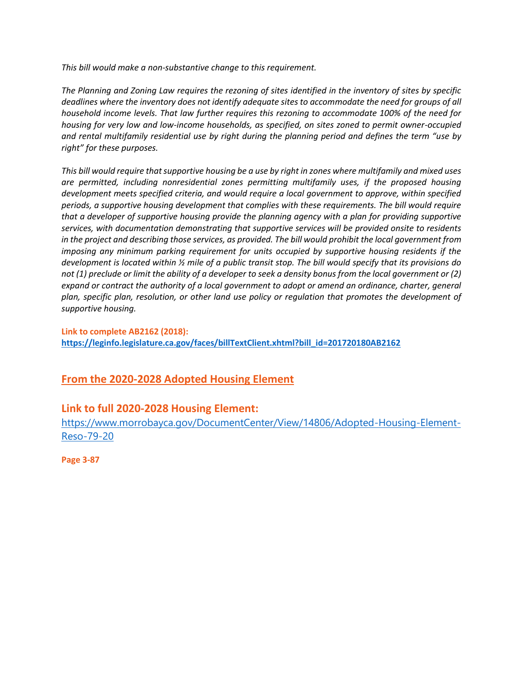*This bill would make a non-substantive change to this requirement.*

*The Planning and Zoning Law requires the rezoning of sites identified in the inventory of sites by specific deadlines where the inventory does not identify adequate sites to accommodate the need for groups of all household income levels. That law further requires this rezoning to accommodate 100% of the need for housing for very low and low-income households, as specified, on sites zoned to permit owner-occupied and rental multifamily residential use by right during the planning period and defines the term "use by right" for these purposes.*

*This bill would require that supportive housing be a use by right in zones where multifamily and mixed uses are permitted, including nonresidential zones permitting multifamily uses, if the proposed housing development meets specified criteria, and would require a local government to approve, within specified periods, a supportive housing development that complies with these requirements. The bill would require that a developer of supportive housing provide the planning agency with a plan for providing supportive services, with documentation demonstrating that supportive services will be provided onsite to residents in the project and describing those services, as provided. The bill would prohibit the local government from imposing any minimum parking requirement for units occupied by supportive housing residents if the development is located within ½ mile of a public transit stop. The bill would specify that its provisions do not (1) preclude or limit the ability of a developer to seek a density bonus from the local government or (2) expand or contract the authority of a local government to adopt or amend an ordinance, charter, general plan, specific plan, resolution, or other land use policy or regulation that promotes the development of supportive housing.*

**Link to complete AB2162 (2018): [https://leginfo.legislature.ca.gov/faces/billTextClient.xhtml?bill\\_id=201720180AB2162](https://leginfo.legislature.ca.gov/faces/billTextClient.xhtml?bill_id=201720180AB2162)**

# **From the 2020-2028 Adopted Housing Element**

# **Link to full 2020-2028 Housing Element:**

[https://www.morrobayca.gov/DocumentCenter/View/14806/Adopted-Housing-Element-](https://www.morrobayca.gov/DocumentCenter/View/14806/Adopted-Housing-Element-Reso-79-20)[Reso-79-20](https://www.morrobayca.gov/DocumentCenter/View/14806/Adopted-Housing-Element-Reso-79-20)

**Page 3-87**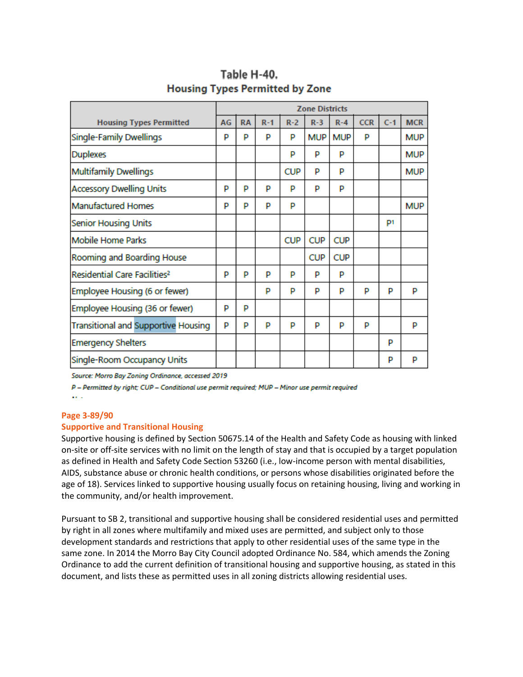|                                          | <b>Zone Districts</b> |           |         |            |            |            |            |       |            |
|------------------------------------------|-----------------------|-----------|---------|------------|------------|------------|------------|-------|------------|
| <b>Housing Types Permitted</b>           | AG                    | <b>RA</b> | $R - 1$ | $R-2$      | $R-3$      | $R - 4$    | <b>CCR</b> | $C-1$ | <b>MCR</b> |
| Single-Family Dwellings                  | P                     | p         | P       | P          | <b>MUP</b> | <b>MUP</b> | P          |       | <b>MUP</b> |
| Duplexes                                 |                       |           |         | p          | P          | p          |            |       | <b>MUP</b> |
| <b>Multifamily Dwellings</b>             |                       |           |         | <b>CUP</b> | P          | P          |            |       | MUP        |
| <b>Accessory Dwelling Units</b>          | P                     | p         | P       | P          | P          | P          |            |       |            |
| Manufactured Homes                       | P                     | p         | P       | P          |            |            |            |       | <b>MUP</b> |
| Senior Housing Units                     |                       |           |         |            |            |            |            | P1    |            |
| <b>Mobile Home Parks</b>                 |                       |           |         | <b>CUP</b> | <b>CUP</b> | <b>CUP</b> |            |       |            |
| Rooming and Boarding House               |                       |           |         |            | <b>CUP</b> | <b>CUP</b> |            |       |            |
| Residential Care Facilities <sup>2</sup> | P                     | p         | P       | P          | P          | P          |            |       |            |
| Employee Housing (6 or fewer)            |                       |           | P       | P          | P          | P          | P          | P     | P          |
| Employee Housing (36 or fewer)           | P                     | p         |         |            |            |            |            |       |            |
| Transitional and Supportive Housing      | P                     | p         | P       | P          | P          | P          | p          |       | P          |
| <b>Emergency Shelters</b>                |                       |           |         |            |            |            |            | P     |            |
| Single-Room Occupancy Units              |                       |           |         |            |            |            |            | P     | P          |

# Table H-40. **Housing Types Permitted by Zone**

Source: Morro Bay Zoning Ordinance, accessed 2019

P - Permitted by right; CUP - Conditional use permit required; MUP - Minor use permit required

 $\mathbf{a} \in \mathbb{R}^d$ 

#### **Page 3-89/90**

## **Supportive and Transitional Housing**

Supportive housing is defined by Section 50675.14 of the Health and Safety Code as housing with linked on-site or off-site services with no limit on the length of stay and that is occupied by a target population as defined in Health and Safety Code Section 53260 (i.e., low-income person with mental disabilities, AIDS, substance abuse or chronic health conditions, or persons whose disabilities originated before the age of 18). Services linked to supportive housing usually focus on retaining housing, living and working in the community, and/or health improvement.

Pursuant to SB 2, transitional and supportive housing shall be considered residential uses and permitted by right in all zones where multifamily and mixed uses are permitted, and subject only to those development standards and restrictions that apply to other residential uses of the same type in the same zone. In 2014 the Morro Bay City Council adopted Ordinance No. 584, which amends the Zoning Ordinance to add the current definition of transitional housing and supportive housing, as stated in this document, and lists these as permitted uses in all zoning districts allowing residential uses.